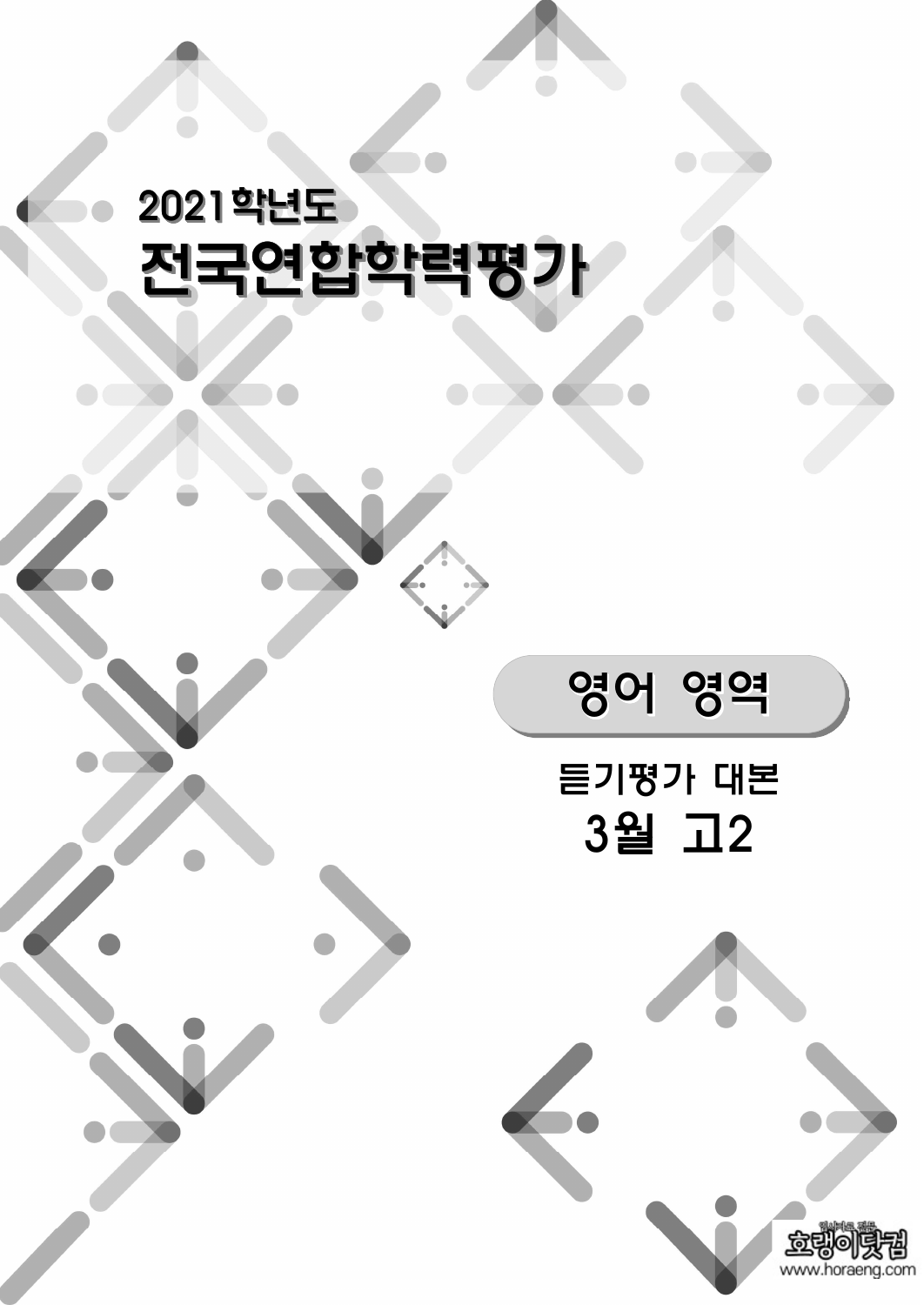# 2021학년도 전국연합학력평가





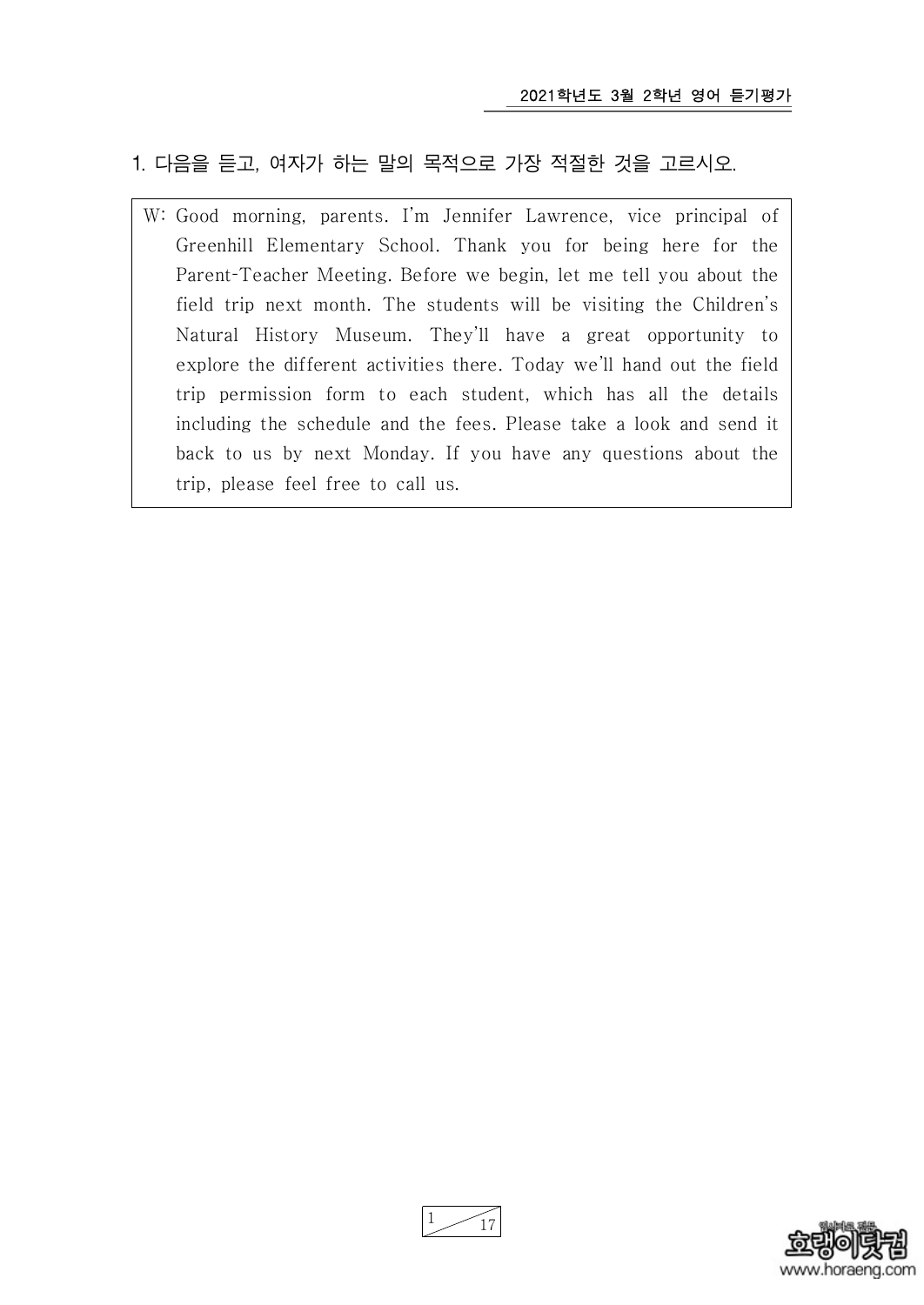# 1. 다음을 듣고, 여자가 하는 말의 목적으로 가장 적절한 것을 고르시오.

W: Good morning, parents. I'm Jennifer Lawrence, vice principal of Greenhill Elementary School. Thank you for being here for the Parent-Teacher Meeting. Before we begin, let me tell you about the field trip next month. The students will be visiting the Children's Natural History Museum. They'll have a great opportunity to explore the different activities there. Today we'll hand out the field trip permission form to each student, which has all the details including the schedule and the fees. Please take a look and send it back to us by next Monday. If you have any questions about the trip, please feel free to call us.



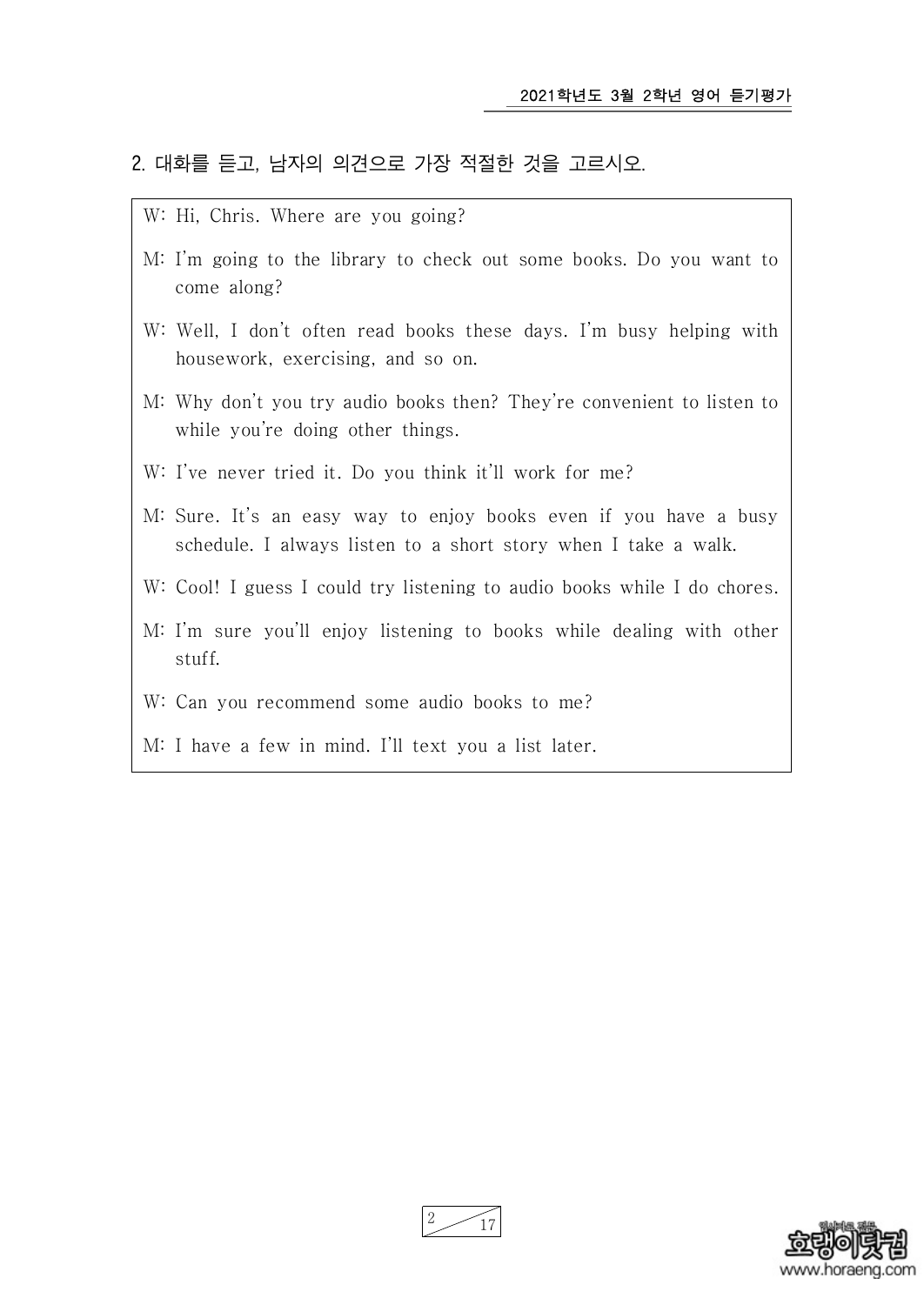#### 2. 대화를 듣고, 남자의 의견으로 가장 적절한 것을 고르시오.

- W: Hi, Chris. Where are you going?
- M: I'm going to the library to check out some books. Do you want to come along?
- W: Well, I don't often read books these days. I'm busy helping with housework, exercising, and so on.
- M: Why don't you try audio books then? They're convenient to listen to while you're doing other things.
- W: I've never tried it. Do you think it'll work for me?
- M: Sure. It's an easy way to enjoy books even if you have a busy schedule. I always listen to a short story when I take a walk.
- W: Cool! I guess I could try listening to audio books while I do chores.
- M: I'm sure you'll enjoy listening to books while dealing with other stuff.
- W: Can you recommend some audio books to me?
- M: I have a few in mind. I'll text you a list later.

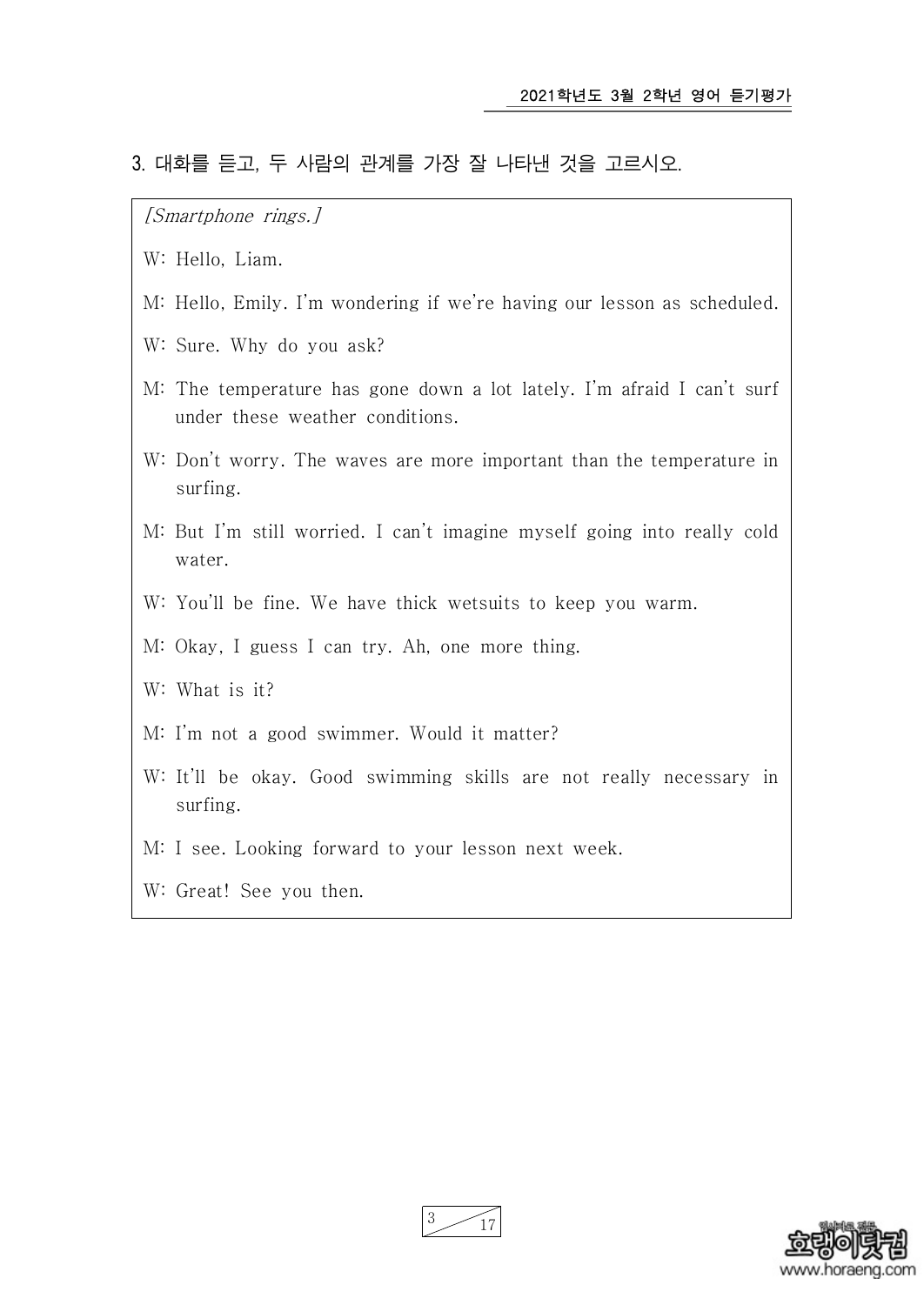#### 3. 대화를 듣고, 두 사람의 관계를 가장 잘 나타낸 것을 고르시오.

[Smartphone rings.]

W: Hello, Liam.

- M: Hello, Emily. I'm wondering if we're having our lesson as scheduled.
- W: Sure. Why do you ask?
- M: The temperature has gone down a lot lately. I'm afraid I can't surf under these weather conditions.
- W: Don't worry. The waves are more important than the temperature in surfing.
- M: But I'm still worried. I can't imagine myself going into really cold water.
- W: You'll be fine. We have thick wetsuits to keep you warm.
- M: Okay, I guess I can try. Ah, one more thing.
- W: What is it?
- M: I'm not a good swimmer. Would it matter?
- W: It'll be okay. Good swimming skills are not really necessary in surfing.
- M: I see. Looking forward to your lesson next week.
- W: Great! See you then.



17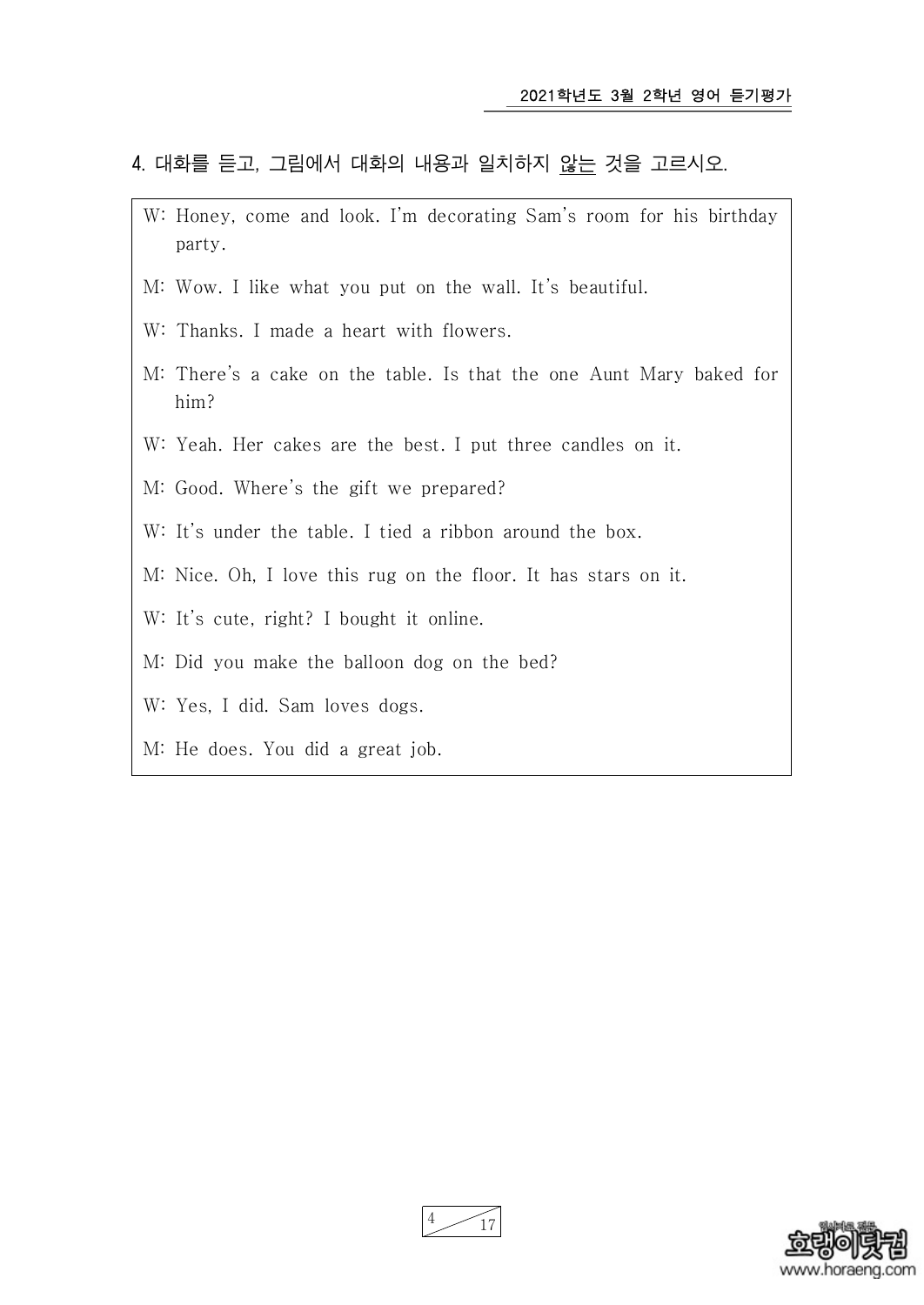#### 4. 대화를 듣고, 그림에서 대화의 내용과 일치하지 않는 것을 고르시오.

- W: Honey, come and look. I'm decorating Sam's room for his birthday party.
- M: Wow. I like what you put on the wall. It's beautiful.
- W: Thanks. I made a heart with flowers.
- M: There's a cake on the table. Is that the one Aunt Mary baked for him?
- W: Yeah. Her cakes are the best. I put three candles on it.
- M: Good. Where's the gift we prepared?
- W: It's under the table. I tied a ribbon around the box.
- M: Nice. Oh, I love this rug on the floor. It has stars on it.
- W: It's cute, right? I bought it online.
- M: Did you make the balloon dog on the bed?
- W: Yes, I did. Sam loves dogs.
- M: He does. You did a great job.



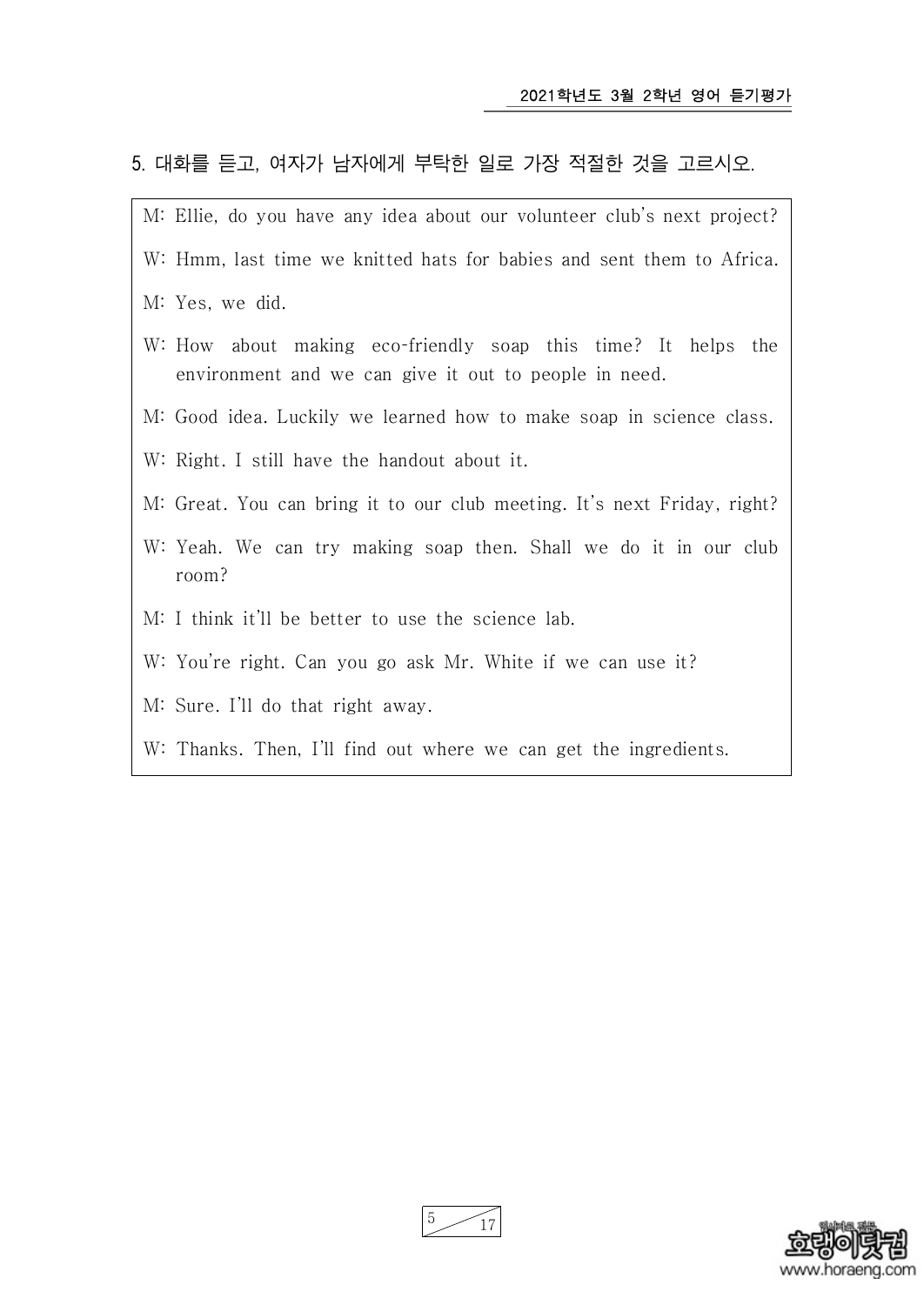## 5. 대화를 듣고, 여자가 남자에게 부탁한 일로 가장 적절한 것을 고르시오.





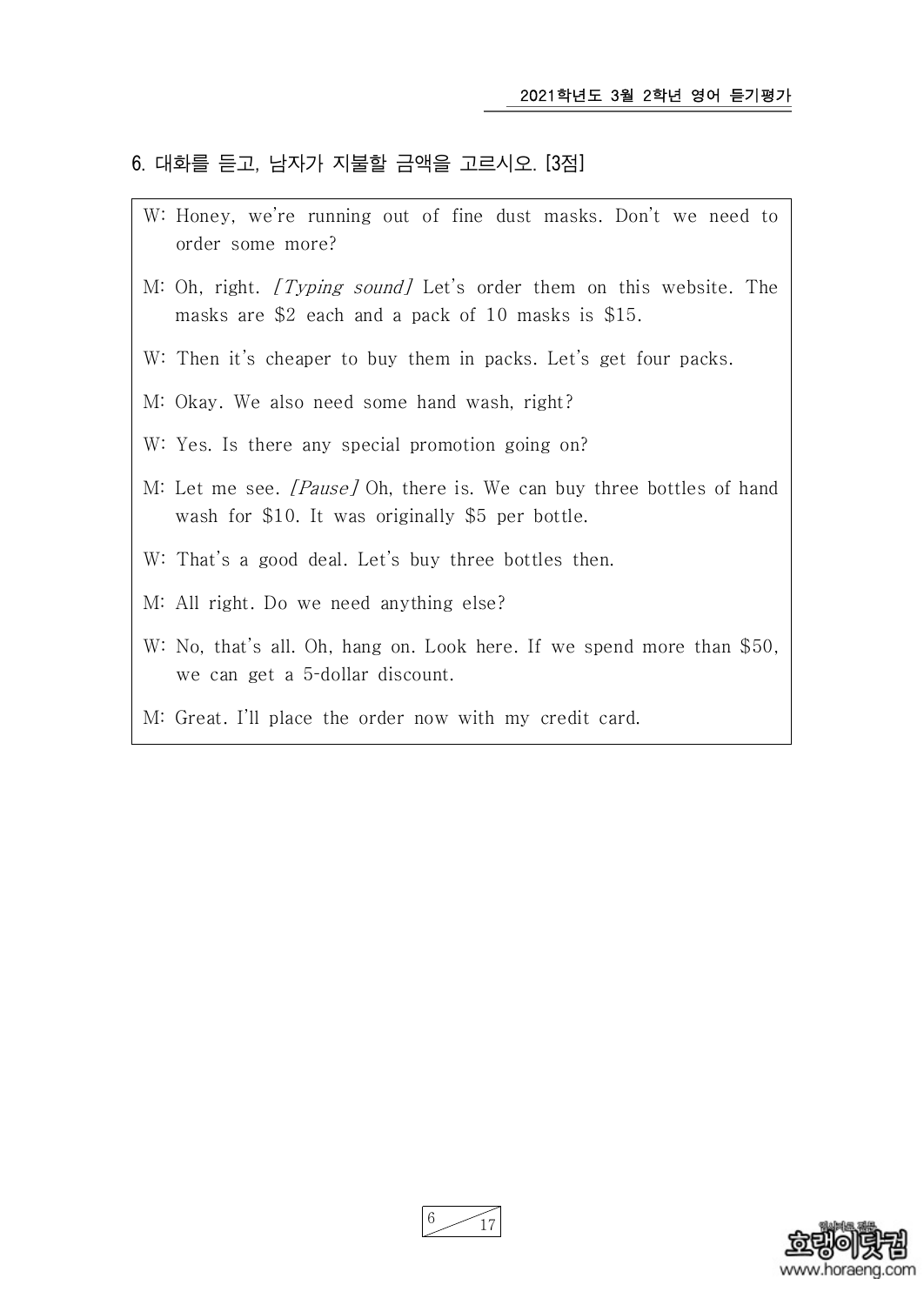#### 6. 대화를 듣고, 남자가 지불할 금액을 고르시오. [3점]

- W: Honey, we're running out of fine dust masks. Don't we need to order some more?
- M: Oh, right. *[Typing sound]* Let's order them on this website. The masks are \$2 each and a pack of 10 masks is \$15.
- W: Then it's cheaper to buy them in packs. Let's get four packs.
- M: Okay. We also need some hand wash, right?
- W: Yes. Is there any special promotion going on?
- M: Let me see. [Pause] Oh, there is. We can buy three bottles of hand wash for \$10. It was originally \$5 per bottle.
- W: That's a good deal. Let's buy three bottles then.
- M: All right. Do we need anything else?
- W: No, that's all. Oh, hang on. Look here. If we spend more than \$50, we can get a 5-dollar discount.
- M: Great. I'll place the order now with my credit card.



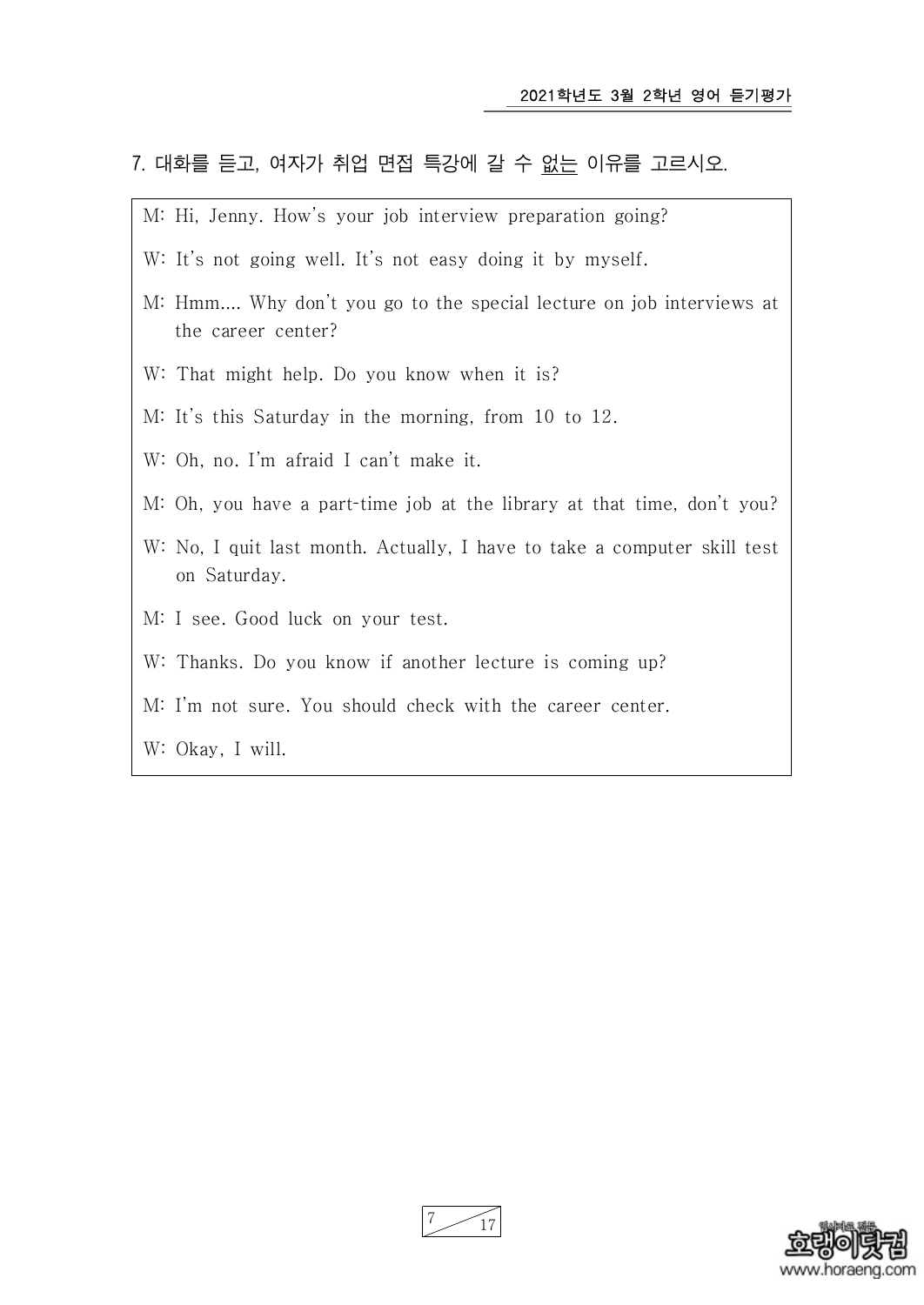## 7. 대화를 듣고, 여자가 취업 면접 특강에 갈 수 없는 이유를 고르시오.

- M: Hi, Jenny. How's your job interview preparation going?
- W: It's not going well. It's not easy doing it by myself.
- M: Hmm.... Why don't you go to the special lecture on job interviews at the career center?
- W: That might help. Do you know when it is?
- M: It's this Saturday in the morning, from 10 to 12.
- W: Oh, no. I'm afraid I can't make it.
- M: Oh, you have a part-time job at the library at that time, don't you?
- W: No, I quit last month. Actually, I have to take a computer skill test on Saturday.
- M: I see. Good luck on your test.
- W: Thanks. Do you know if another lecture is coming up?
- M: I'm not sure. You should check with the career center.
- W: Okay, I will.



7 17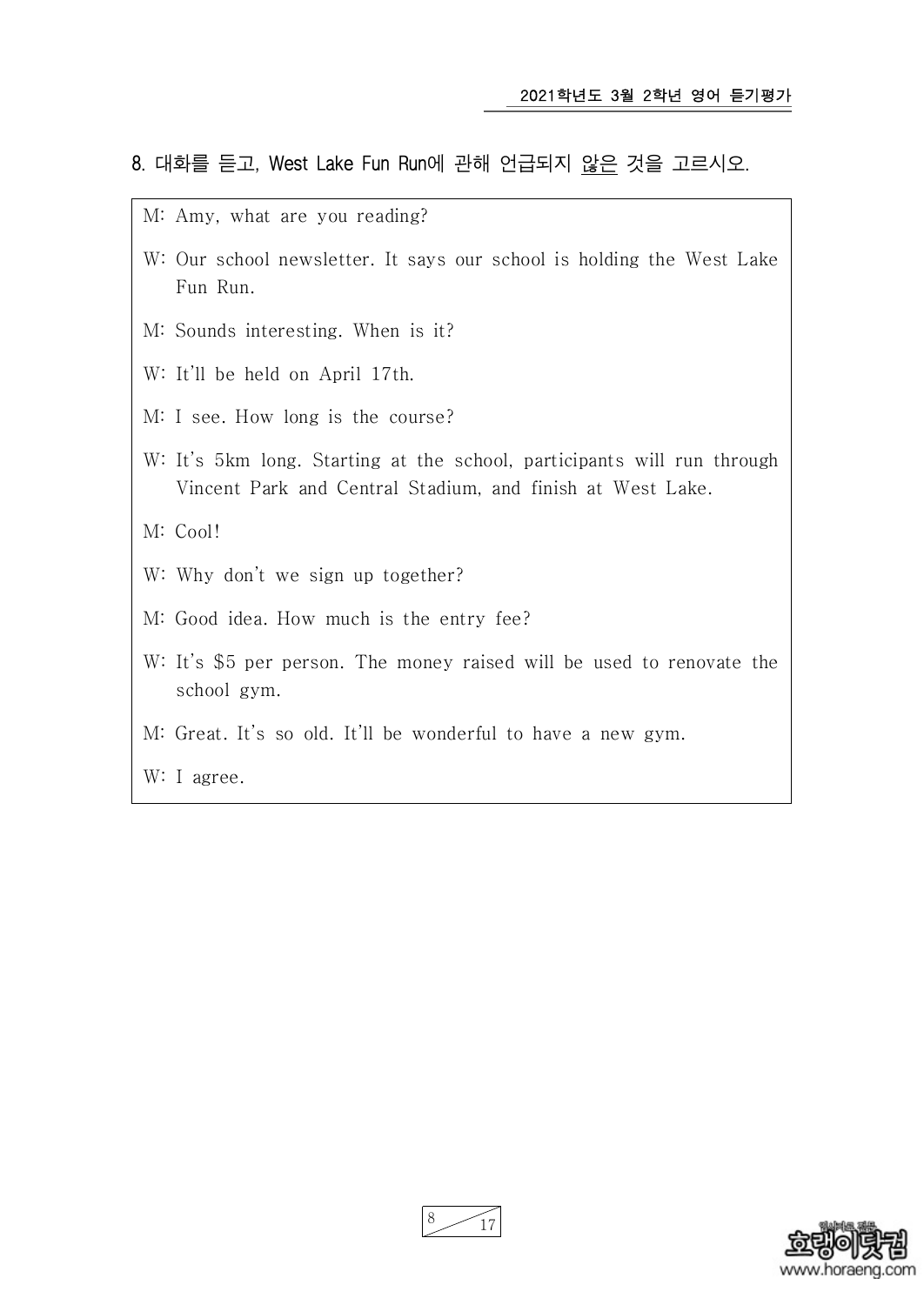#### 8. 대화를 듣고, West Lake Fun Run에 관해 언급되지 않은 것을 고르시오.

- M: Amy, what are you reading?
- W: Our school newsletter. It says our school is holding the West Lake Fun Run.
- M: Sounds interesting. When is it?
- W: It'll be held on April 17th.
- M: I see. How long is the course?
- W: It's 5km long. Starting at the school, participants will run through Vincent Park and Central Stadium, and finish at West Lake.

M: Cool!

- W: Why don't we sign up together?
- M: Good idea. How much is the entry fee?
- W: It's \$5 per person. The money raised will be used to renovate the school gym.
- M: Great. It's so old. It'll be wonderful to have a new gym.

W: I agree.



<sup>17</sup>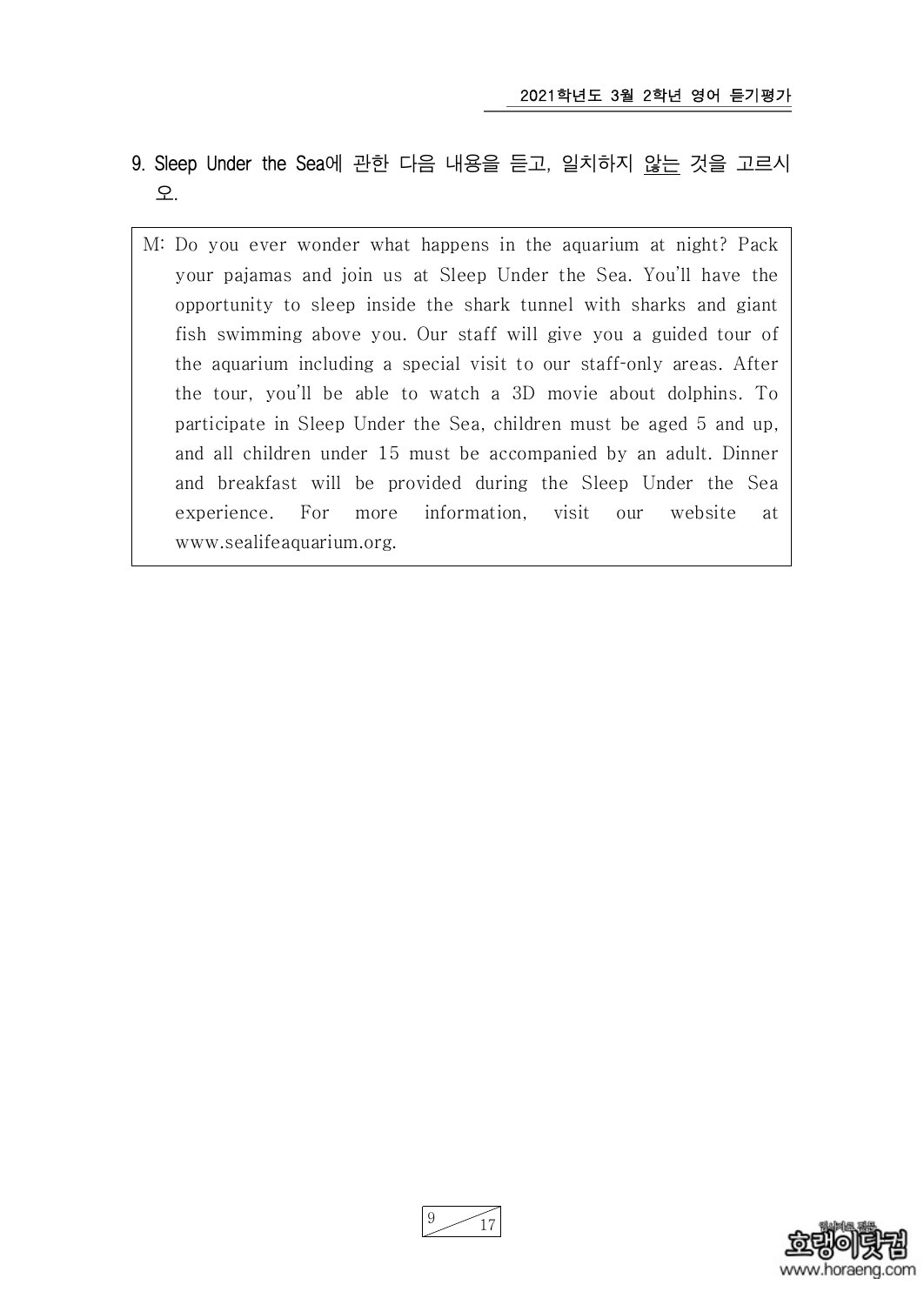- 9. Sleep Under the Sea에 관한 다음 내용을 듣고, 일치하지 않는 것을 고르시 오.
	- M: Do you ever wonder what happens in the aquarium at night? Pack your pajamas and join us at Sleep Under the Sea. You'll have the opportunity to sleep inside the shark tunnel with sharks and giant fish swimming above you. Our staff will give you a guided tour of the aquarium including a special visit to our staff-only areas. After the tour, you'll be able to watch a 3D movie about dolphins. To participate in Sleep Under the Sea, children must be aged 5 and up, and all children under 15 must be accompanied by an adult. Dinner and breakfast will be provided during the Sleep Under the Sea experience. For more information, visit our website at www.sealifeaquarium.org.



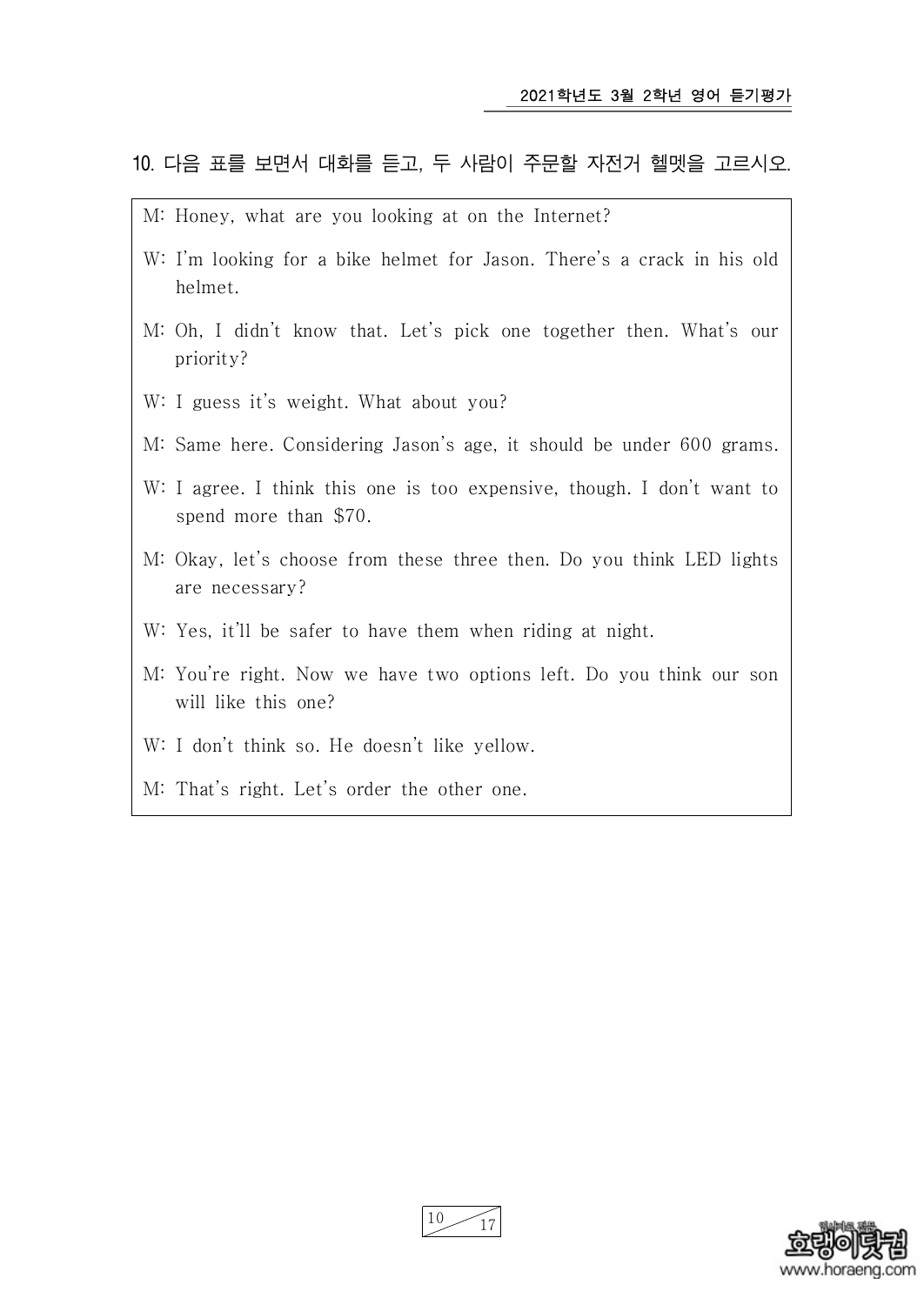#### 10. 다음 표를 보면서 대화를 듣고, 두 사람이 주문할 자전거 헬멧을 고르시오.

- M: Honey, what are you looking at on the Internet?
- W: I'm looking for a bike helmet for Jason. There's a crack in his old helmet.
- M: Oh, I didn't know that. Let's pick one together then. What's our priority?
- W: I guess it's weight. What about you?
- M: Same here. Considering Jason's age, it should be under 600 grams.
- W: I agree. I think this one is too expensive, though. I don't want to spend more than \$70.
- M: Okay, let's choose from these three then. Do you think LED lights are necessary?
- W: Yes, it'll be safer to have them when riding at night.
- M: You're right. Now we have two options left. Do you think our son will like this one?
- W: I don't think so. He doesn't like yellow.
- M: That's right. Let's order the other one.

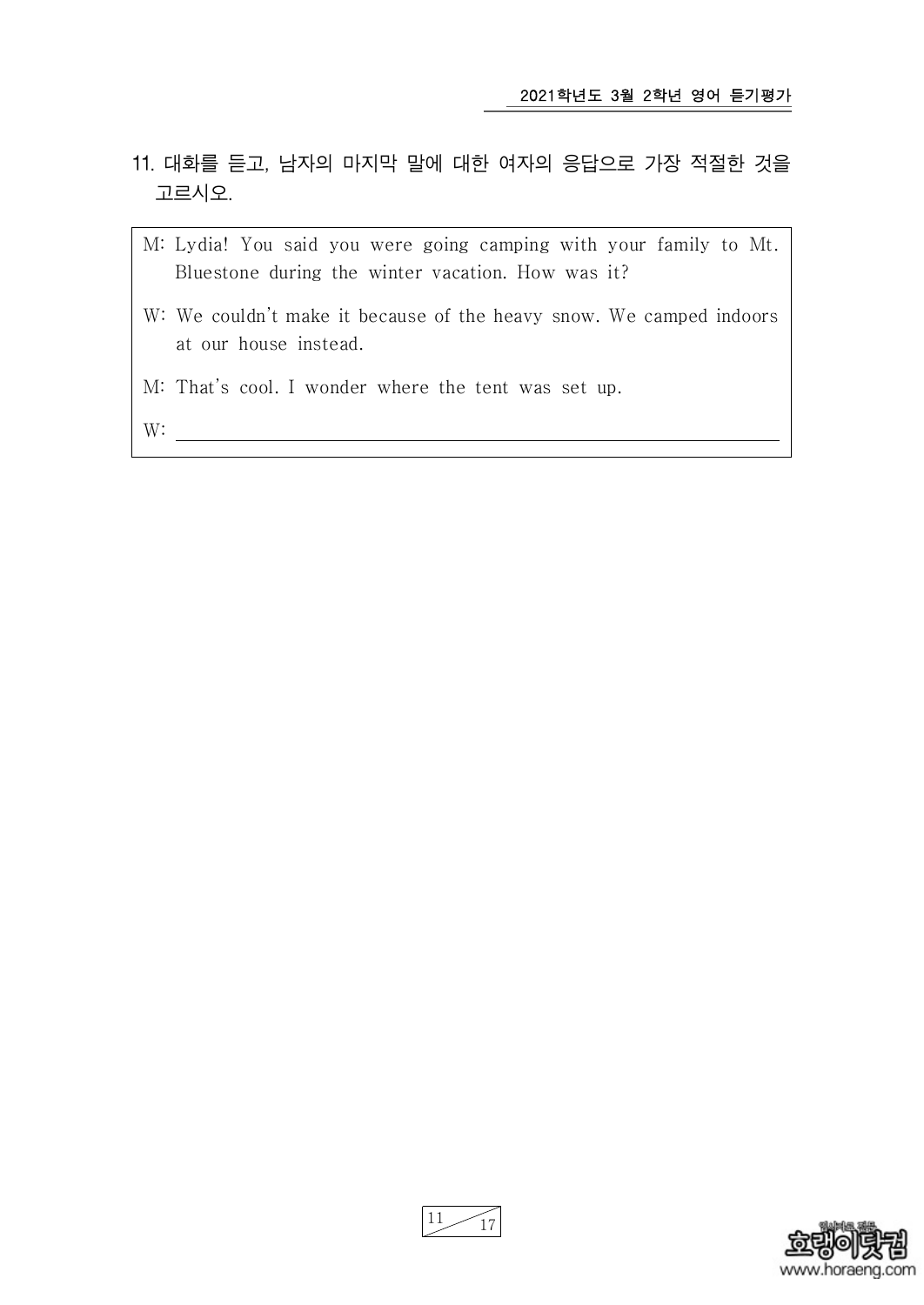- 11. 대화를 듣고, 남자의 마지막 말에 대한 여자의 응답으로 가장 적절한 것을 고르시오.
	- M: Lydia! You said you were going camping with your family to Mt. Bluestone during the winter vacation. How was it?
	- W: We couldn't make it because of the heavy snow. We camped indoors at our house instead.
	- M: That's cool. I wonder where the tent was set up.

W:  $\qquad \qquad$ 

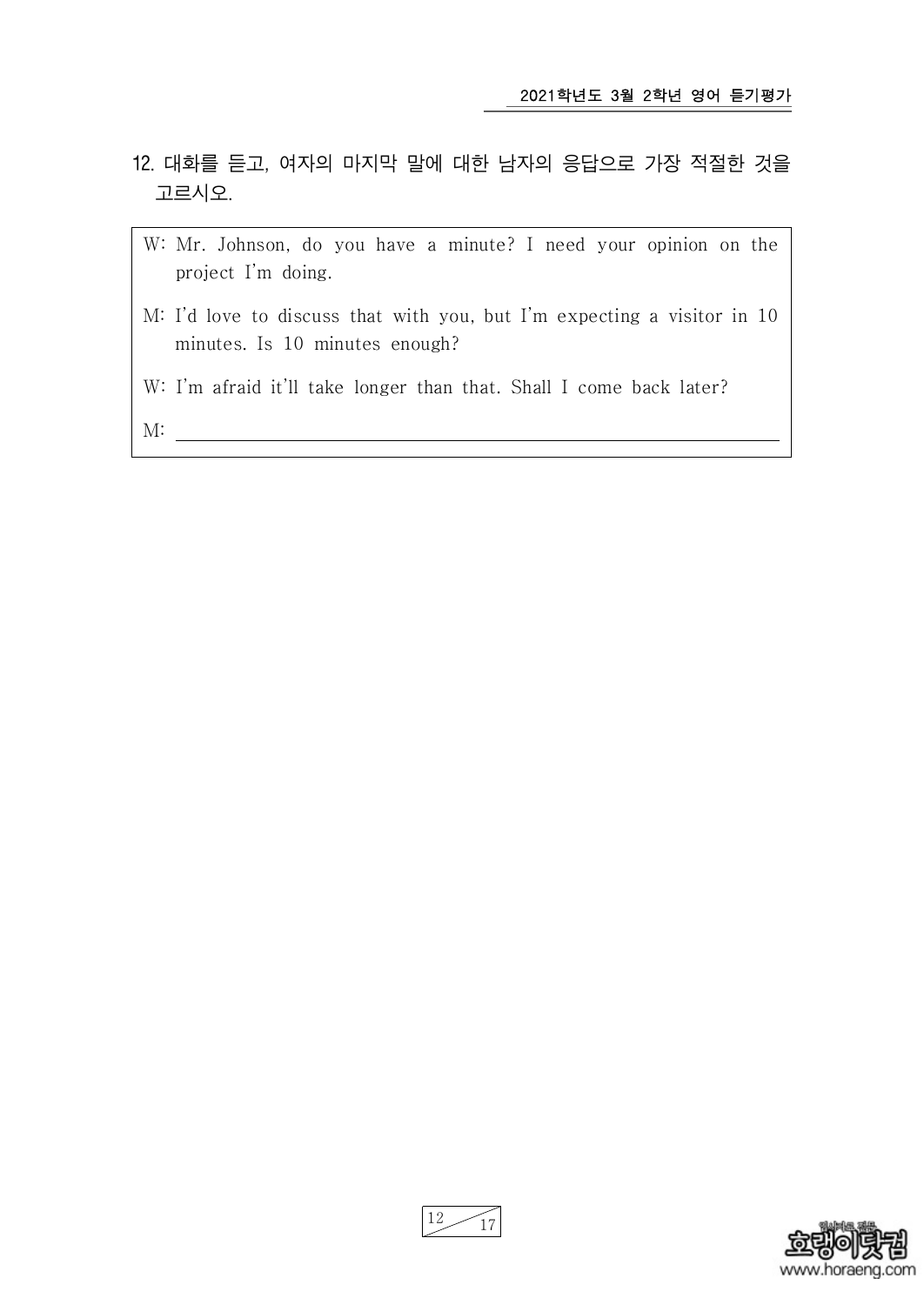- 12. 대화를 듣고, 여자의 마지막 말에 대한 남자의 응답으로 가장 적절한 것을 고르시오.
	- W: Mr. Johnson, do you have a minute? I need your opinion on the project I'm doing.
	- M: I'd love to discuss that with you, but I'm expecting a visitor in 10 minutes. Is 10 minutes enough?
	- W: I'm afraid it'll take longer than that. Shall I come back later?
	- M:

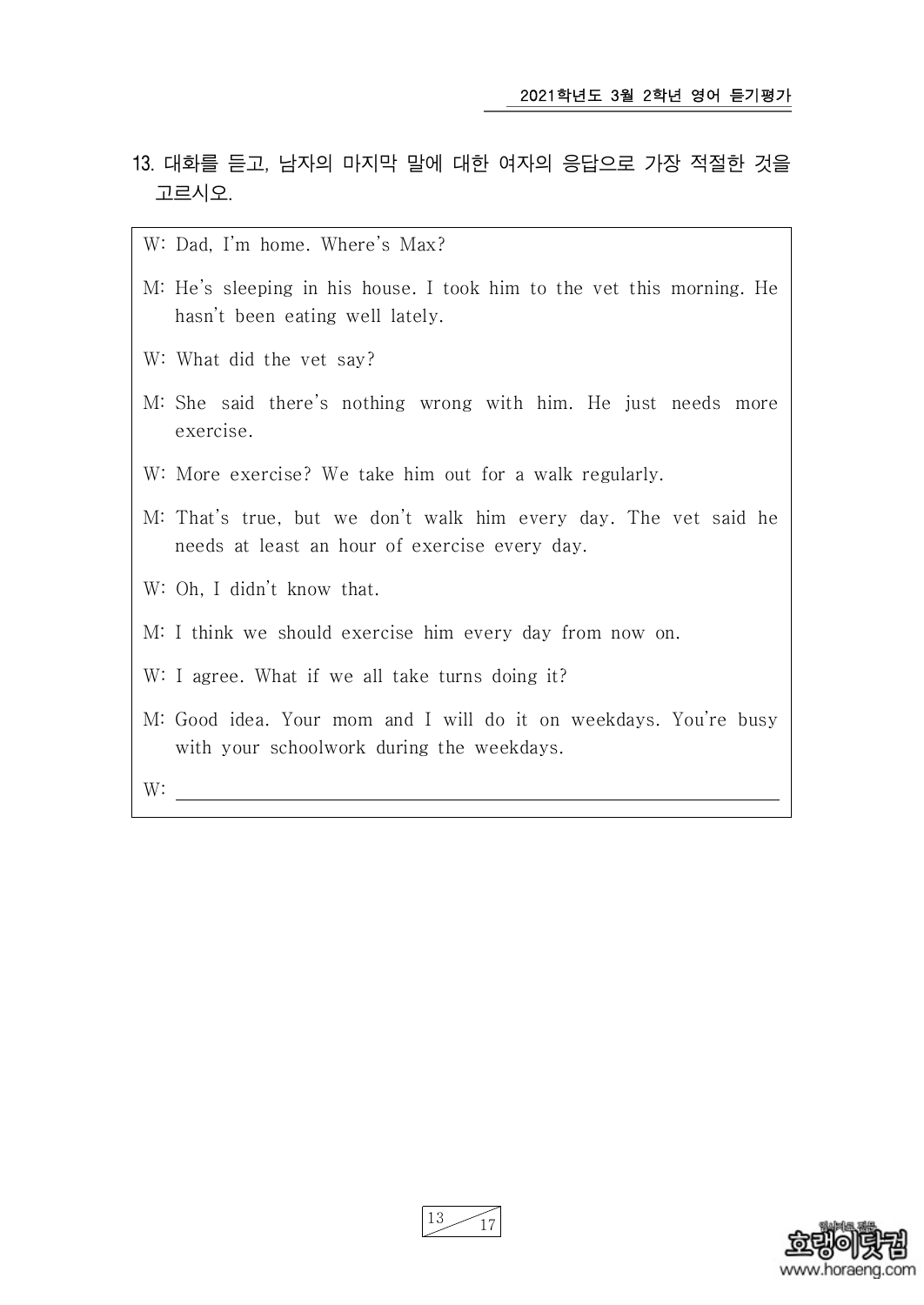- 13. 대화를 듣고, 남자의 마지막 말에 대한 여자의 응답으로 가장 적절한 것을 고르시오.
	- W: Dad, I'm home. Where's Max?
	- M: He's sleeping in his house. I took him to the vet this morning. He hasn't been eating well lately.
	- W: What did the vet say?
	- M: She said there's nothing wrong with him. He just needs more exercise.
	- W: More exercise? We take him out for a walk regularly.
	- M: That's true, but we don't walk him every day. The vet said he needs at least an hour of exercise every day.
	- W: Oh, I didn't know that.
	- M: I think we should exercise him every day from now on.
	- W: I agree. What if we all take turns doing it?
	- M: Good idea. Your mom and I will do it on weekdays. You're busy with your schoolwork during the weekdays.

W:



 $13 \frac{17}{17}$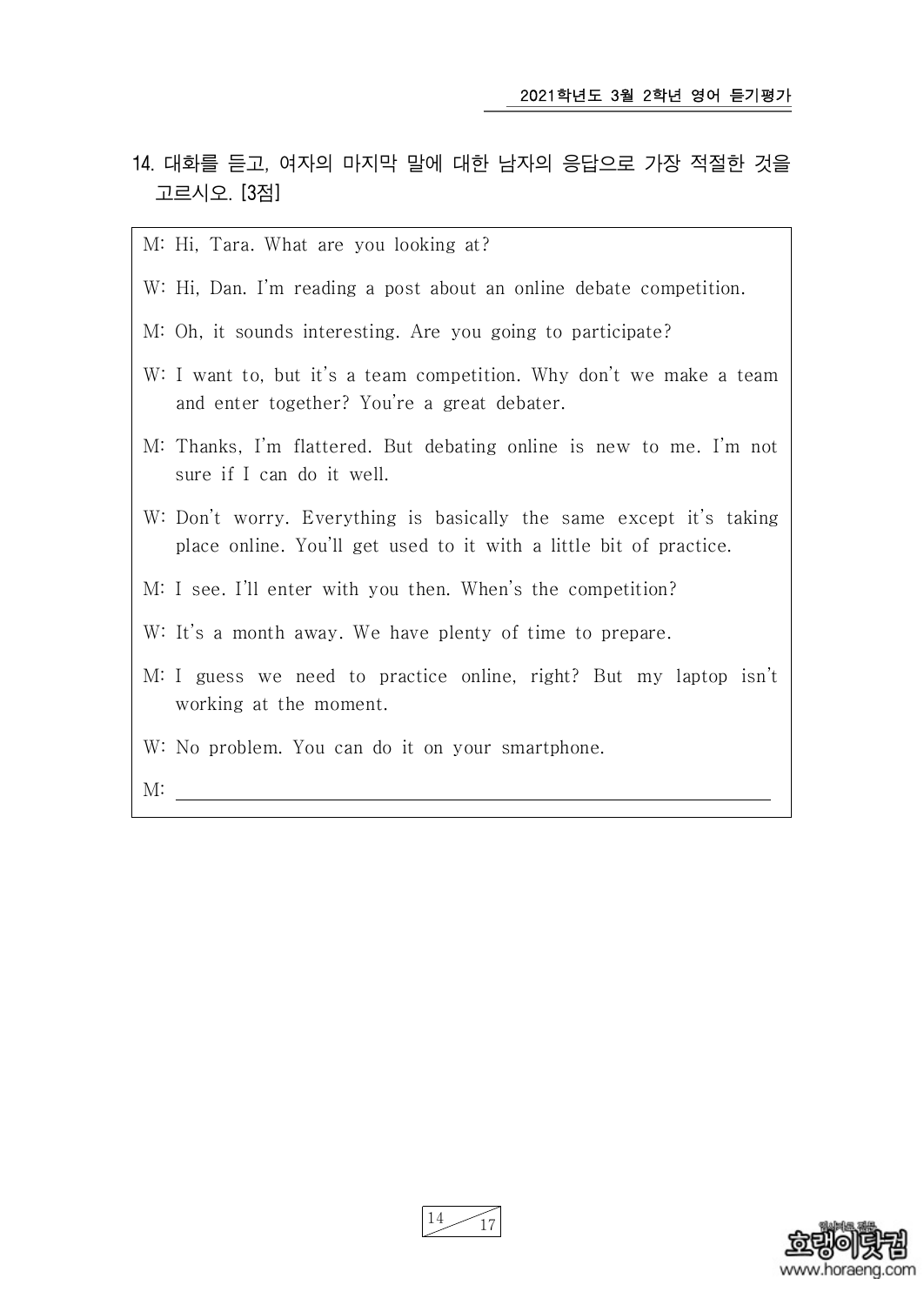- 14. 대화를 듣고, 여자의 마지막 말에 대한 남자의 응답으로 가장 적절한 것을 고르시오. [3점]
	- M: Hi, Tara. What are you looking at?
	- W: Hi, Dan. I'm reading a post about an online debate competition.
	- M: Oh, it sounds interesting. Are you going to participate?
	- W: I want to, but it's a team competition. Why don't we make a team and enter together? You're a great debater.
	- M: Thanks, I'm flattered. But debating online is new to me. I'm not sure if I can do it well.
	- W: Don't worry. Everything is basically the same except it's taking place online. You'll get used to it with a little bit of practice.
	- M: I see. I'll enter with you then. When's the competition?
	- W: It's a month away. We have plenty of time to prepare.
	- M: I guess we need to practice online, right? But my laptop isn't working at the moment.
	- W: No problem. You can do it on your smartphone.

 $M:$ 

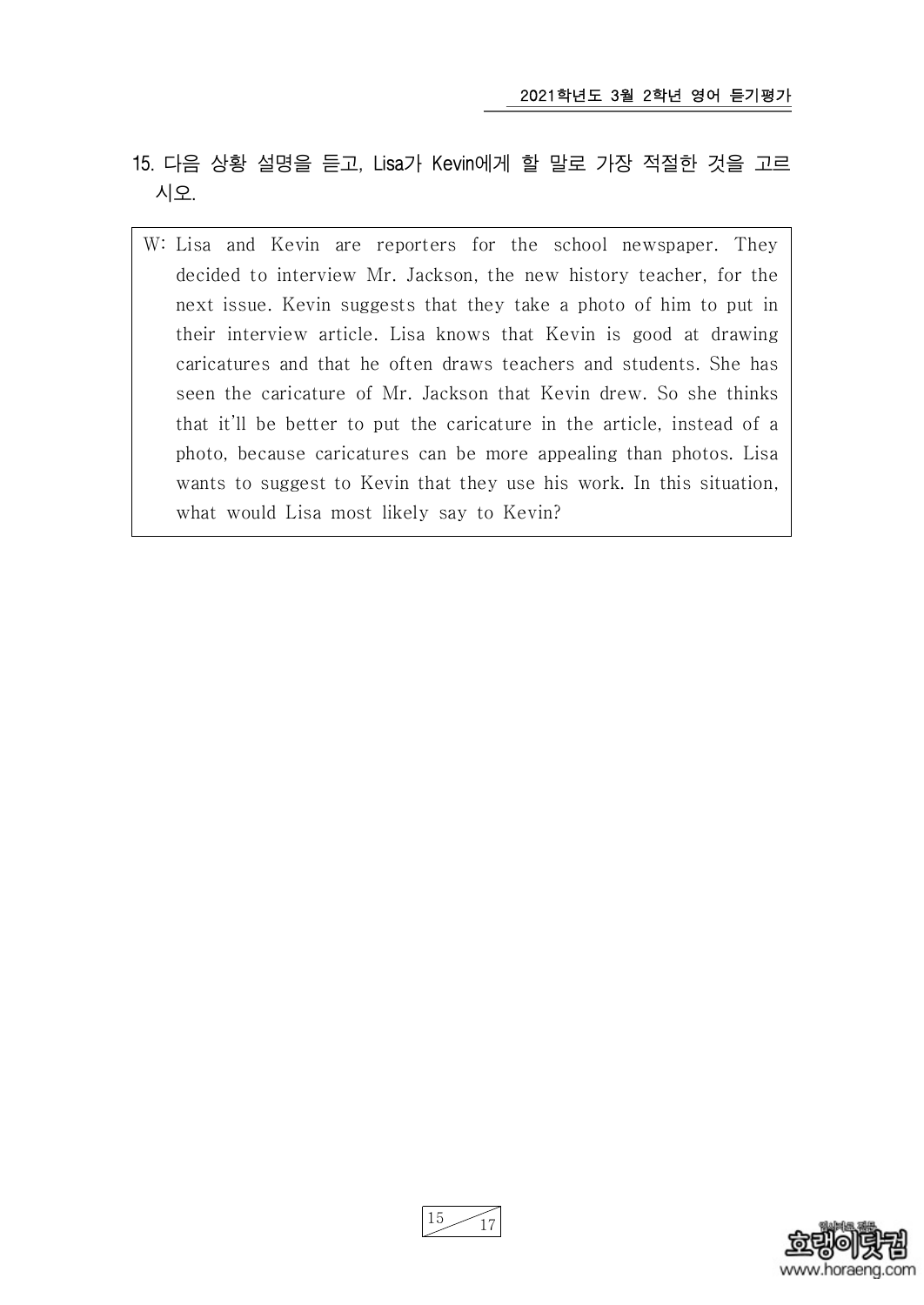- 15. 다음 상황 설명을 듣고, Lisa가 Kevin에게 할 말로 가장 적절한 것을 고르 시오.
	- W: Lisa and Kevin are reporters for the school newspaper. They decided to interview Mr. Jackson, the new history teacher, for the next issue. Kevin suggests that they take a photo of him to put in their interview article. Lisa knows that Kevin is good at drawing caricatures and that he often draws teachers and students. She has seen the caricature of Mr. Jackson that Kevin drew. So she thinks that it'll be better to put the caricature in the article, instead of a photo, because caricatures can be more appealing than photos. Lisa wants to suggest to Kevin that they use his work. In this situation, what would Lisa most likely say to Kevin?



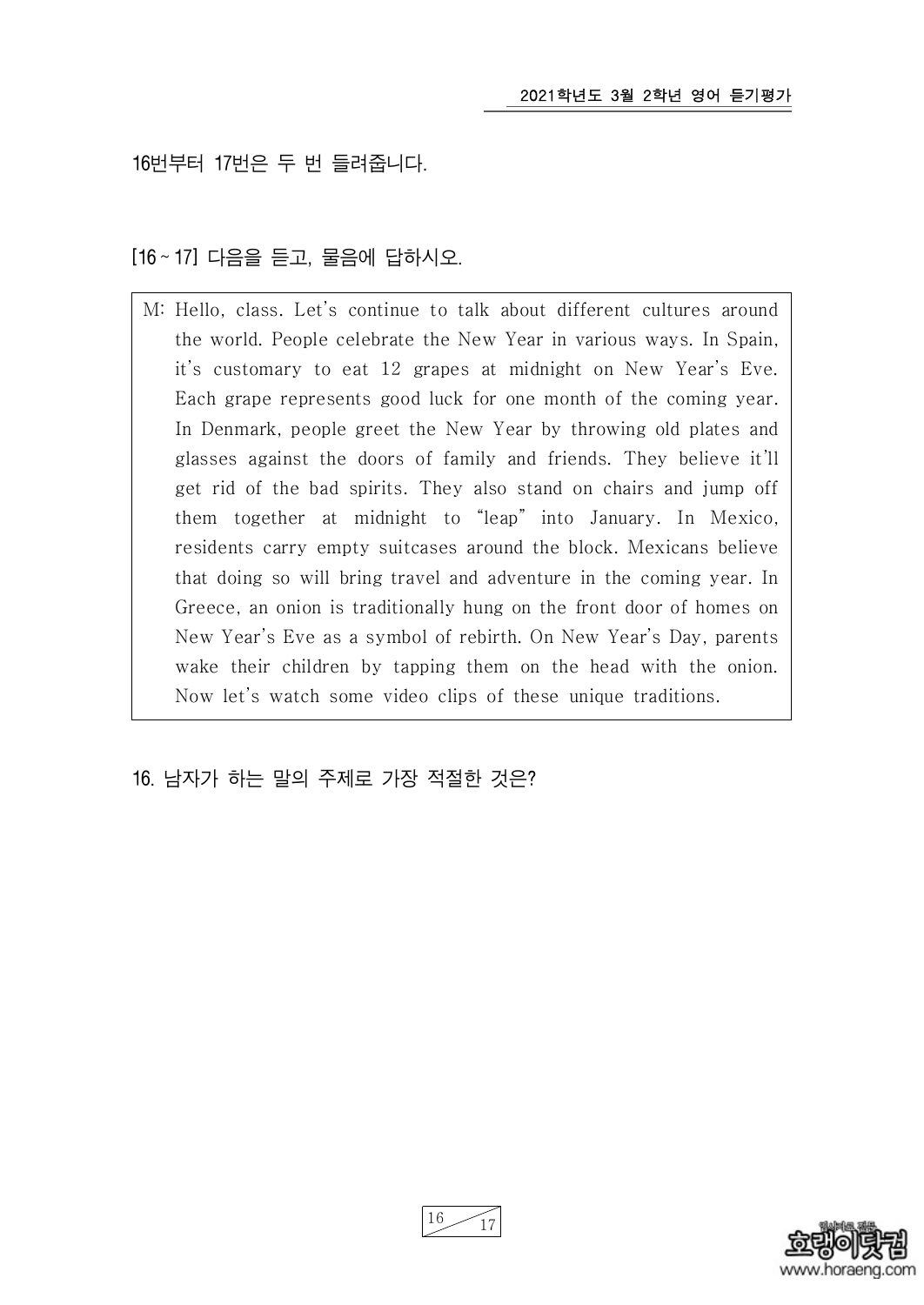16번부터 17번은 두 번 들려줍니다.

[16 ~ 17] 다음을 듣고, 물음에 답하시오.

M: Hello, class. Let's continue to talk about different cultures around the world. People celebrate the New Year in various ways. In Spain, it's customary to eat 12 grapes at midnight on New Year's Eve. Each grape represents good luck for one month of the coming year. In Denmark, people greet the New Year by throwing old plates and glasses against the doors of family and friends. They believe it'll get rid of the bad spirits. They also stand on chairs and jump off them together at midnight to "leap" into January. In Mexico, residents carry empty suitcases around the block. Mexicans believe that doing so will bring travel and adventure in the coming year. In Greece, an onion is traditionally hung on the front door of homes on New Year's Eve as a symbol of rebirth. On New Year's Day, parents wake their children by tapping them on the head with the onion. Now let's watch some video clips of these unique traditions.

16. 남자가 하는 말의 주제로 가장 적절한 것은?



16 17